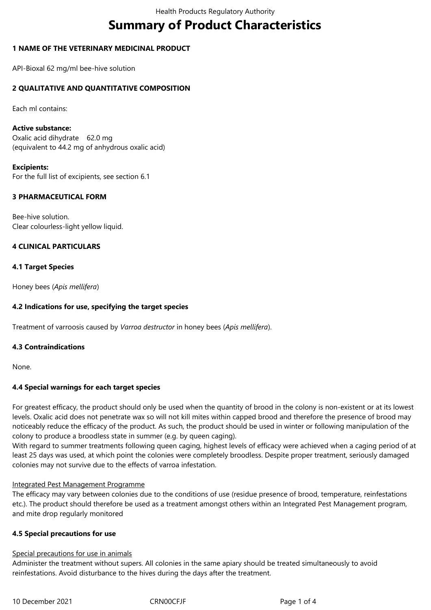# **Summary of Product Characteristics**

# **1 NAME OF THE VETERINARY MEDICINAL PRODUCT**

API-Bioxal 62 mg/ml bee-hive solution

# **2 QUALITATIVE AND QUANTITATIVE COMPOSITION**

Each ml contains:

#### **Active substance:**

Oxalic acid dihydrate 62.0 mg (equivalent to 44.2 mg of anhydrous oxalic acid)

#### **Excipients:**

For the full list of excipients, see section 6.1

# **3 PHARMACEUTICAL FORM**

Bee-hive solution. Clear colourless-light yellow liquid.

# **4 CLINICAL PARTICULARS**

#### **4.1 Target Species**

Honey bees (*Apis mellifera*)

### **4.2 Indications for use, specifying the target species**

Treatment of varroosis caused by *Varroa destructor* in honey bees (*Apis mellifera*).

#### **4.3 Contraindications**

None.

#### **4.4 Special warnings for each target species**

For greatest efficacy, the product should only be used when the quantity of brood in the colony is non-existent or at its lowest levels. Oxalic acid does not penetrate wax so will not kill mites within capped brood and therefore the presence of brood may noticeably reduce the efficacy of the product. As such, the product should be used in winter or following manipulation of the colony to produce a broodless state in summer (e.g. by queen caging).

With regard to summer treatments following queen caging, highest levels of efficacy were achieved when a caging period of at least 25 days was used, at which point the colonies were completely broodless. Despite proper treatment, seriously damaged colonies may not survive due to the effects of varroa infestation.

#### Integrated Pest Management Programme

The efficacy may vary between colonies due to the conditions of use (residue presence of brood, temperature, reinfestations etc.). The product should therefore be used as a treatment amongst others within an Integrated Pest Management program, and mite drop regularly monitored

#### **4.5 Special precautions for use**

#### Special precautions for use in animals

Administer the treatment without supers. All colonies in the same apiary should be treated simultaneously to avoid reinfestations. Avoid disturbance to the hives during the days after the treatment.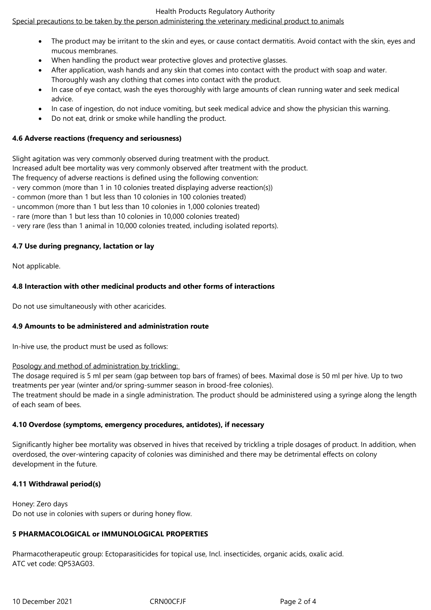#### Health Products Regulatory Authority

# Special precautions to be taken by the person administering the veterinary medicinal product to animals

- The product may be irritant to the skin and eyes, or cause contact dermatitis. Avoid contact with the skin, eyes and mucous membranes.
- When handling the product wear protective gloves and protective glasses.
- After application, wash hands and any skin that comes into contact with the product with soap and water. Thoroughly wash any clothing that comes into contact with the product.
- In case of eye contact, wash the eyes thoroughly with large amounts of clean running water and seek medical advice.
- In case of ingestion, do not induce vomiting, but seek medical advice and show the physician this warning.
- Do not eat, drink or smoke while handling the product.

### **4.6 Adverse reactions (frequency and seriousness)**

Slight agitation was very commonly observed during treatment with the product. Increased adult bee mortality was very commonly observed after treatment with the product.

The frequency of adverse reactions is defined using the following convention:

- very common (more than 1 in 10 colonies treated displaying adverse reaction(s))
- common (more than 1 but less than 10 colonies in 100 colonies treated)
- uncommon (more than 1 but less than 10 colonies in 1,000 colonies treated)
- rare (more than 1 but less than 10 colonies in 10,000 colonies treated)
- very rare (less than 1 animal in 10,000 colonies treated, including isolated reports).

# **4.7 Use during pregnancy, lactation or lay**

Not applicable.

# **4.8 Interaction with other medicinal products and other forms of interactions**

Do not use simultaneously with other acaricides.

#### **4.9 Amounts to be administered and administration route**

In-hive use, the product must be used as follows:

#### Posology and method of administration by trickling:

The dosage required is 5 ml per seam (gap between top bars of frames) of bees. Maximal dose is 50 ml per hive. Up to two treatments per year (winter and/or spring-summer season in brood-free colonies).

The treatment should be made in a single administration. The product should be administered using a syringe along the length of each seam of bees.

# **4.10 Overdose (symptoms, emergency procedures, antidotes), if necessary**

Significantly higher bee mortality was observed in hives that received by trickling a triple dosages of product. In addition, when overdosed, the over-wintering capacity of colonies was diminished and there may be detrimental effects on colony development in the future.

# **4.11 Withdrawal period(s)**

Honey: Zero days Do not use in colonies with supers or during honey flow.

# **5 PHARMACOLOGICAL or IMMUNOLOGICAL PROPERTIES**

Pharmacotherapeutic group: Ectoparasiticides for topical use, Incl. insecticides, organic acids, oxalic acid. ATC vet code: QP53AG03.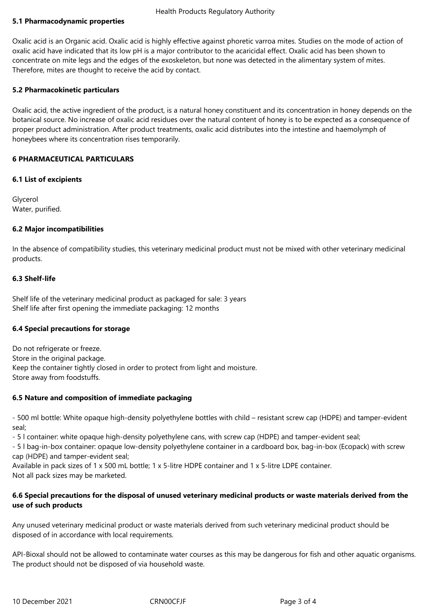# **5.1 Pharmacodynamic properties**

Oxalic acid is an Organic acid. Oxalic acid is highly effective against phoretic varroa mites. Studies on the mode of action of oxalic acid have indicated that its low pH is a major contributor to the acaricidal effect. Oxalic acid has been shown to concentrate on mite legs and the edges of the exoskeleton, but none was detected in the alimentary system of mites. Therefore, mites are thought to receive the acid by contact.

# **5.2 Pharmacokinetic particulars**

Oxalic acid, the active ingredient of the product, is a natural honey constituent and its concentration in honey depends on the botanical source. No increase of oxalic acid residues over the natural content of honey is to be expected as a consequence of proper product administration. After product treatments, oxalic acid distributes into the intestine and haemolymph of honeybees where its concentration rises temporarily.

# **6 PHARMACEUTICAL PARTICULARS**

#### **6.1 List of excipients**

Glycerol Water, purified.

# **6.2 Major incompatibilities**

In the absence of compatibility studies, this veterinary medicinal product must not be mixed with other veterinary medicinal products.

# **6.3 Shelf-life**

Shelf life of the veterinary medicinal product as packaged for sale: 3 years Shelf life after first opening the immediate packaging: 12 months

#### **6.4 Special precautions for storage**

Do not refrigerate or freeze. Store in the original package. Keep the container tightly closed in order to protect from light and moisture. Store away from foodstuffs.

#### **6.5 Nature and composition of immediate packaging**

- 500 ml bottle: White opaque high-density polyethylene bottles with child – resistant screw cap (HDPE) and tamper-evident seal;

- 5 l container: white opaque high-density polyethylene cans, with screw cap (HDPE) and tamper-evident seal;

- 5 l bag-in-box container: opaque low-density polyethylene container in a cardboard box, bag-in-box (Ecopack) with screw cap (HDPE) and tamper-evident seal;

Available in pack sizes of 1 x 500 mL bottle; 1 x 5-litre HDPE container and 1 x 5-litre LDPE container. Not all pack sizes may be marketed.

# **6.6 Special precautions for the disposal of unused veterinary medicinal products or waste materials derived from the use of such products**

Any unused veterinary medicinal product or waste materials derived from such veterinary medicinal product should be disposed of in accordance with local requirements.

API-Bioxal should not be allowed to contaminate water courses as this may be dangerous for fish and other aquatic organisms. The product should not be disposed of via household waste.